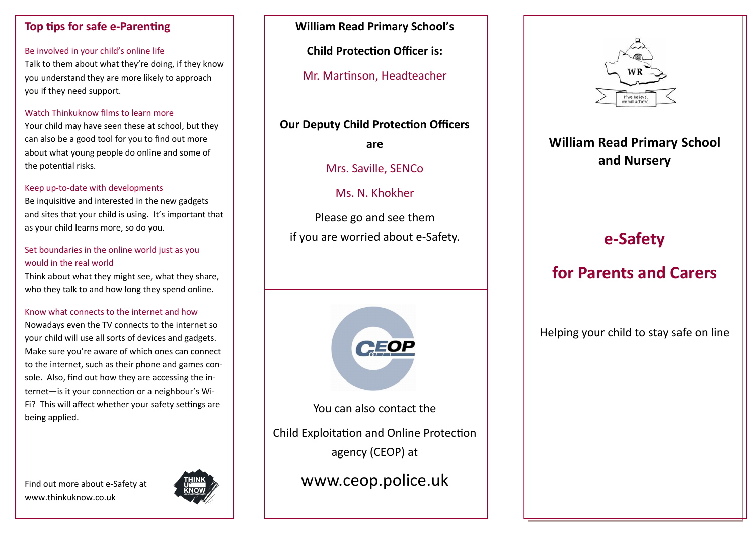## **Top tips for safe e-Parenting**

### Be involved in your child's online life

Talk to them about what they're doing, if they know you understand they are more likely to approach you if they need support.

### Watch Thinkuknow films to learn more

Your child may have seen these at school, but they can also be a good tool for you to find out more about what young people do online and some of the potential risks.

### Keep up-to-date with developments

Be inquisitive and interested in the new gadgets and sites that your child is using. It's important that as your child learns more, so do you.

## Set boundaries in the online world just as you would in the real world

Think about what they might see, what they share, who they talk to and how long they spend online.

### Know what connects to the internet and how

Nowadays even the TV connects to the internet so your child will use all sorts of devices and gadgets. Make sure you're aware of which ones can connect to the internet, such as their phone and games console. Also, find out how they are accessing the internet—is it your connection or a neighbour's Wi-Fi? This will affect whether your safety settings are being applied.

Find out more about e-Safety at www.thinkuknow.co.uk



# **William Read Primary School's**

**Child Protection Officer is:**

Mr. Martinson, Headteacher

## **Our Deputy Child Protection Officers**

**are**

Mrs. Saville, SENCo

# Ms. N. Khokher

Please go and see them if you are worried about e-Safety.



You can also contact the Child Exploitation and Online Protection

agency (CEOP) at

www.ceop.police.uk



# **William Read Primary School and Nursery**

# **e-Safety**

# **for Parents and Carers**

Helping your child to stay safe on line